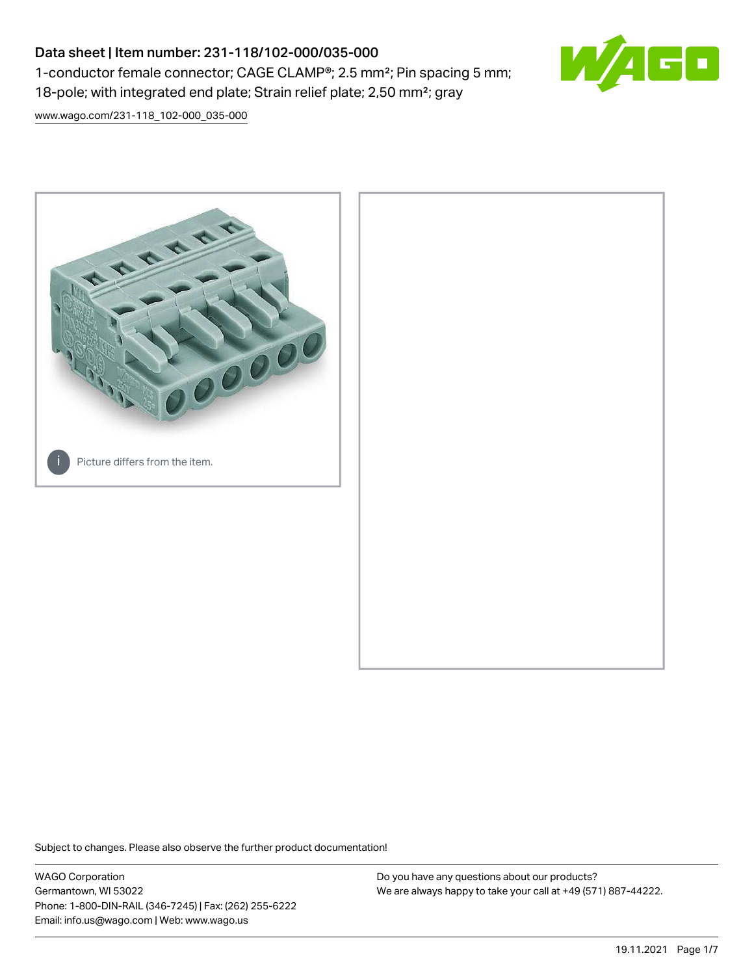## Data sheet | Item number: 231-118/102-000/035-000 1-conductor female connector; CAGE CLAMP®; 2.5 mm²; Pin spacing 5 mm; 18-pole; with integrated end plate; Strain relief plate; 2,50 mm²; gray



[www.wago.com/231-118\\_102-000\\_035-000](http://www.wago.com/231-118_102-000_035-000)



Subject to changes. Please also observe the further product documentation!

WAGO Corporation Germantown, WI 53022 Phone: 1-800-DIN-RAIL (346-7245) | Fax: (262) 255-6222 Email: info.us@wago.com | Web: www.wago.us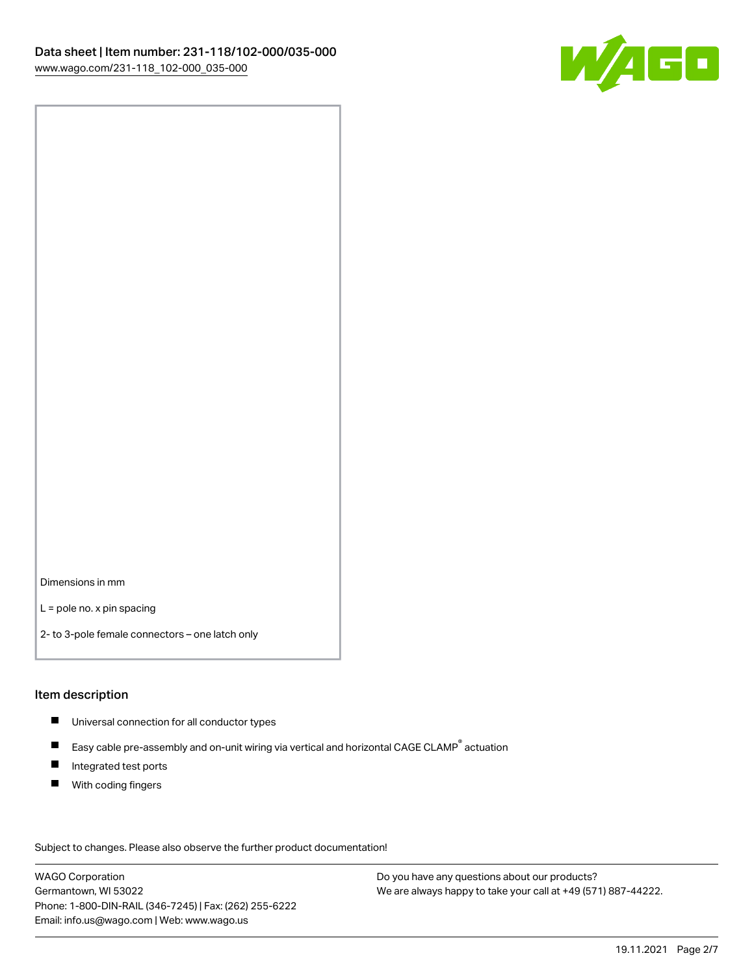

Dimensions in mm

L = pole no. x pin spacing

2- to 3-pole female connectors – one latch only

#### Item description

- **Universal connection for all conductor types**
- Easy cable pre-assembly and on-unit wiring via vertical and horizontal CAGE CLAMP<sup>®</sup> actuation  $\blacksquare$
- $\blacksquare$ Integrated test ports
- $\blacksquare$ With coding fingers

Subject to changes. Please also observe the further product documentation! Data

WAGO Corporation Germantown, WI 53022 Phone: 1-800-DIN-RAIL (346-7245) | Fax: (262) 255-6222 Email: info.us@wago.com | Web: www.wago.us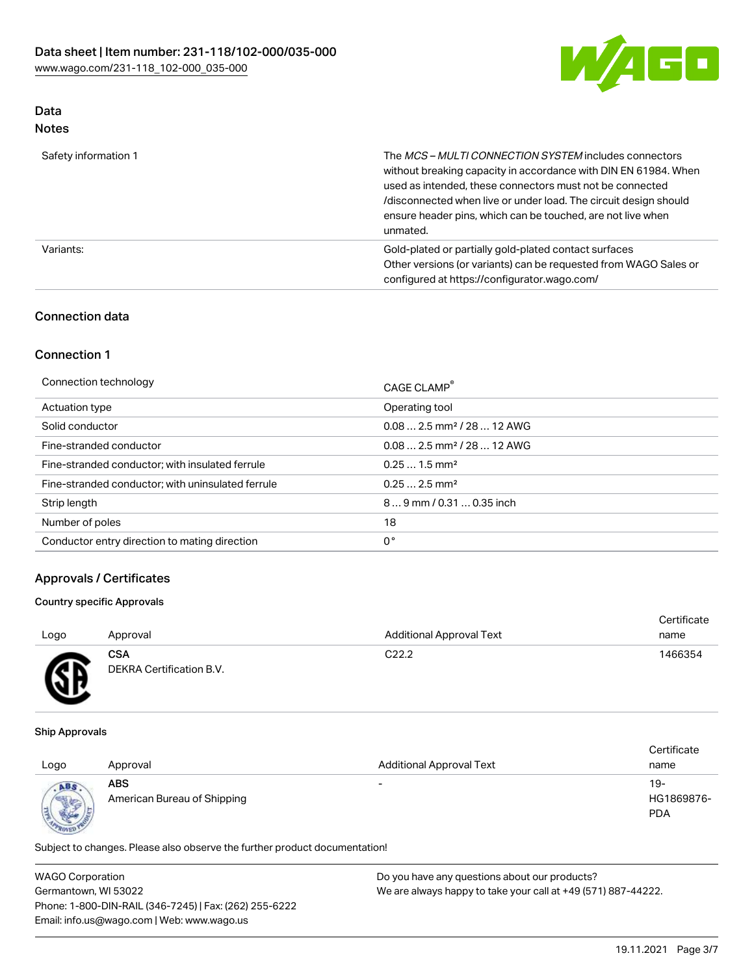

# Data

| Safety information 1 | The MCS-MULTI CONNECTION SYSTEM includes connectors<br>without breaking capacity in accordance with DIN EN 61984. When<br>used as intended, these connectors must not be connected<br>/disconnected when live or under load. The circuit design should<br>ensure header pins, which can be touched, are not live when<br>unmated. |
|----------------------|-----------------------------------------------------------------------------------------------------------------------------------------------------------------------------------------------------------------------------------------------------------------------------------------------------------------------------------|
| Variants:            | Gold-plated or partially gold-plated contact surfaces<br>Other versions (or variants) can be requested from WAGO Sales or<br>configured at https://configurator.wago.com/                                                                                                                                                         |

## Connection data

## Connection 1

| Connection technology                             | CAGE CLAMP <sup>®</sup>                 |
|---------------------------------------------------|-----------------------------------------|
| Actuation type                                    | Operating tool                          |
| Solid conductor                                   | $0.08$ 2.5 mm <sup>2</sup> / 28  12 AWG |
| Fine-stranded conductor                           | $0.082.5$ mm <sup>2</sup> / 28  12 AWG  |
| Fine-stranded conductor; with insulated ferrule   | $0.251.5$ mm <sup>2</sup>               |
| Fine-stranded conductor; with uninsulated ferrule | $0.252.5$ mm <sup>2</sup>               |
| Strip length                                      | 89 mm / 0.31  0.35 inch                 |
| Number of poles                                   | 18                                      |
| Conductor entry direction to mating direction     | 0°                                      |

## Approvals / Certificates

#### Country specific Approvals

| Logo             | Approval                               | <b>Additional Approval Text</b> | Certificate<br>name |
|------------------|----------------------------------------|---------------------------------|---------------------|
| Æ<br>$\bf\omega$ | <b>CSA</b><br>DEKRA Certification B.V. | C <sub>22.2</sub>               | 1466354             |

#### Ship Approvals

| Logo                     | Approval                                  | <b>Additional Approval Text</b> | Certificate<br>name               |
|--------------------------|-------------------------------------------|---------------------------------|-----------------------------------|
| ABS<br><b>CONTRACTOR</b> | <b>ABS</b><br>American Bureau of Shipping | $\overline{\phantom{0}}$        | $19-$<br>HG1869876-<br><b>PDA</b> |

Subject to changes. Please also observe the further product documentation!

| <b>WAGO Corporation</b>                                | Do you have any questions about our products?                 |
|--------------------------------------------------------|---------------------------------------------------------------|
| Germantown, WI 53022                                   | We are always happy to take your call at +49 (571) 887-44222. |
| Phone: 1-800-DIN-RAIL (346-7245)   Fax: (262) 255-6222 |                                                               |
| Email: info.us@wago.com   Web: www.wago.us             |                                                               |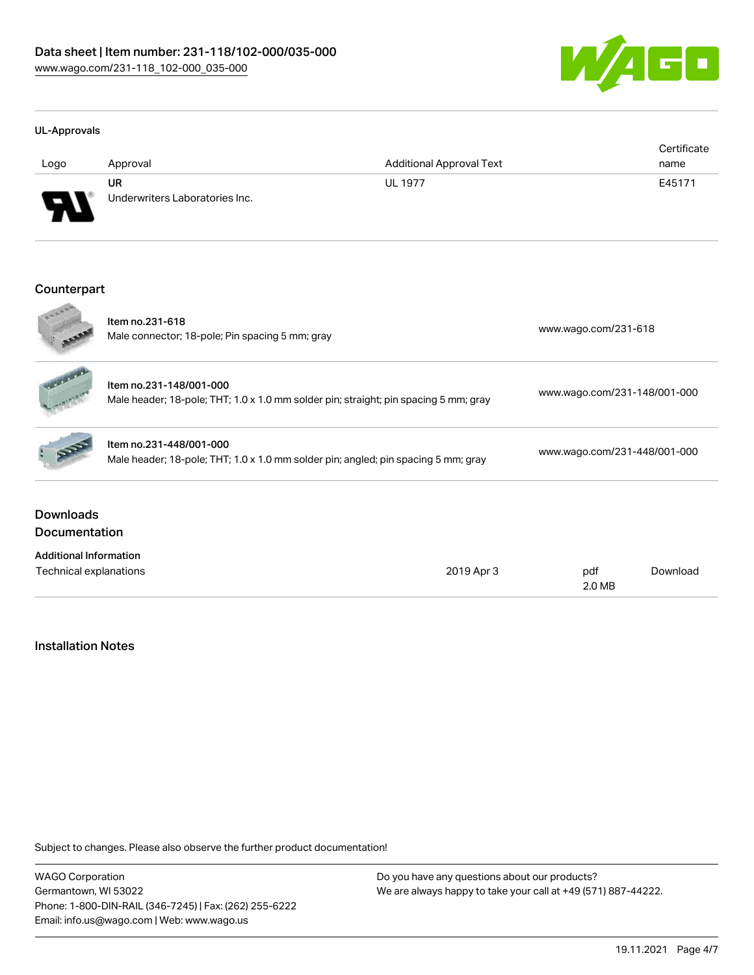

#### UL-Approvals

| Logo     | Approval                             | <b>Additional Approval Text</b> | Certificate<br>name |
|----------|--------------------------------------|---------------------------------|---------------------|
| J<br>. . | UR<br>Underwriters Laboratories Inc. | <b>UL 1977</b>                  | E45171              |

#### Counterpart **College**

| Technical explanations                   |                                                                                                                 |            | 2.0 MB                       |          |  |
|------------------------------------------|-----------------------------------------------------------------------------------------------------------------|------------|------------------------------|----------|--|
| <b>Additional Information</b>            |                                                                                                                 | 2019 Apr 3 | pdf                          | Download |  |
| <b>Downloads</b><br><b>Documentation</b> |                                                                                                                 |            |                              |          |  |
|                                          | Item no.231-448/001-000<br>Male header; 18-pole; THT; 1.0 x 1.0 mm solder pin; angled; pin spacing 5 mm; gray   |            | www.wago.com/231-448/001-000 |          |  |
|                                          | Item no.231-148/001-000<br>Male header; 18-pole; THT; 1.0 x 1.0 mm solder pin; straight; pin spacing 5 mm; gray |            | www.wago.com/231-148/001-000 |          |  |
| 5000                                     | Item no.231-618<br>Male connector; 18-pole; Pin spacing 5 mm; gray                                              |            | www.wago.com/231-618         |          |  |

### Installation Notes

Subject to changes. Please also observe the further product documentation!

WAGO Corporation Germantown, WI 53022 Phone: 1-800-DIN-RAIL (346-7245) | Fax: (262) 255-6222 Email: info.us@wago.com | Web: www.wago.us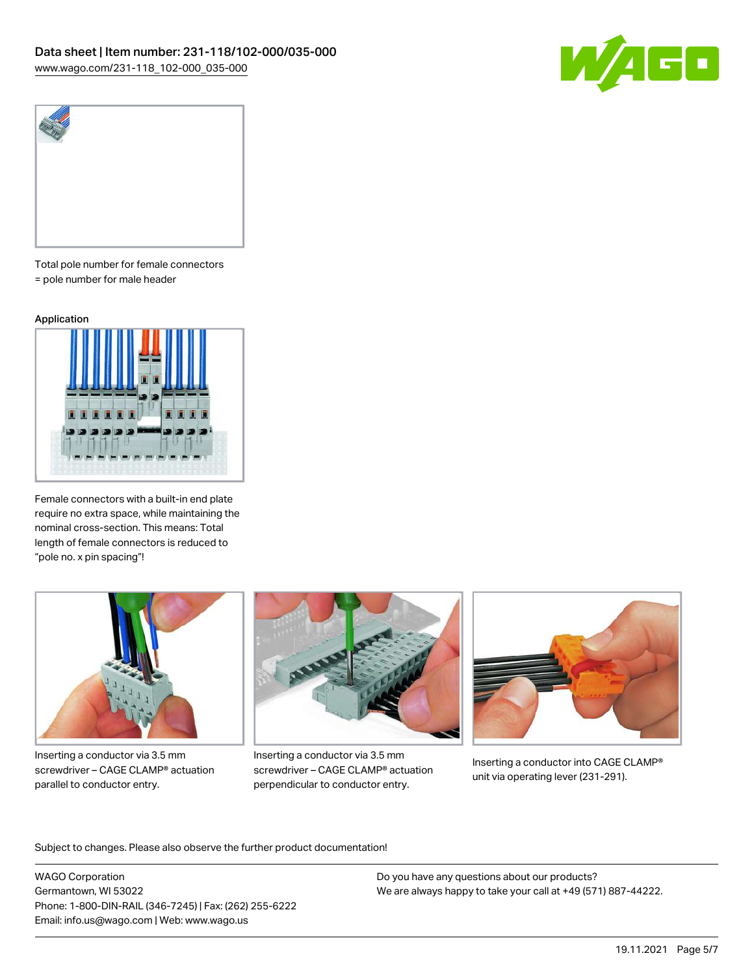



Total pole number for female connectors = pole number for male header

#### Application



Female connectors with a built-in end plate require no extra space, while maintaining the nominal cross-section. This means: Total length of female connectors is reduced to "pole no. x pin spacing"!



Inserting a conductor via 3.5 mm screwdriver – CAGE CLAMP® actuation parallel to conductor entry.



Inserting a conductor via 3.5 mm screwdriver – CAGE CLAMP® actuation perpendicular to conductor entry.



Inserting a conductor into CAGE CLAMP® unit via operating lever (231-291).

Subject to changes. Please also observe the further product documentation!

WAGO Corporation Germantown, WI 53022 Phone: 1-800-DIN-RAIL (346-7245) | Fax: (262) 255-6222 Email: info.us@wago.com | Web: www.wago.us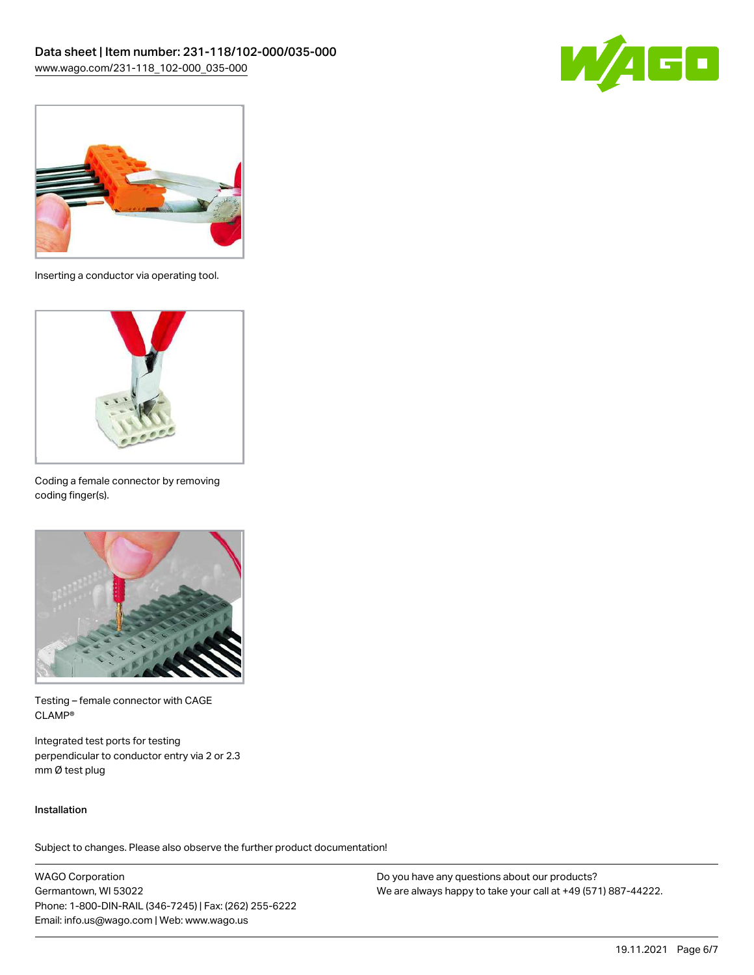



Inserting a conductor via operating tool.



Coding a female connector by removing coding finger(s).



Testing – female connector with CAGE CLAMP®

Integrated test ports for testing perpendicular to conductor entry via 2 or 2.3 mm Ø test plug

#### Installation

Subject to changes. Please also observe the further product documentation!

WAGO Corporation Germantown, WI 53022 Phone: 1-800-DIN-RAIL (346-7245) | Fax: (262) 255-6222 Email: info.us@wago.com | Web: www.wago.us